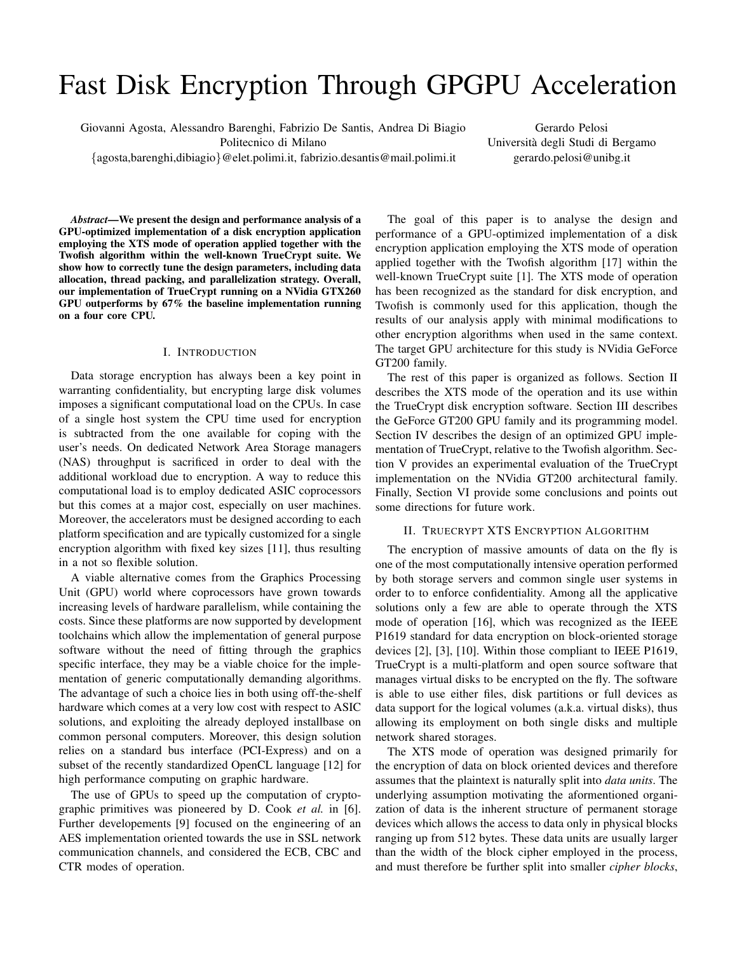# Fast Disk Encryption Through GPGPU Acceleration

Giovanni Agosta, Alessandro Barenghi, Fabrizio De Santis, Andrea Di Biagio Politecnico di Milano

{agosta,barenghi,dibiagio}@elet.polimi.it, fabrizio.desantis@mail.polimi.it

Gerardo Pelosi Universit`a degli Studi di Bergamo gerardo.pelosi@unibg.it

*Abstract***—We present the design and performance analysis of a GPU-optimized implementation of a disk encryption application employing the XTS mode of operation applied together with the Twofish algorithm within the well-known TrueCrypt suite. We show how to correctly tune the design parameters, including data allocation, thread packing, and parallelization strategy. Overall, our implementation of TrueCrypt running on a NVidia GTX260 GPU outperforms by 67% the baseline implementation running on a four core CPU.**

## I. INTRODUCTION

Data storage encryption has always been a key point in warranting confidentiality, but encrypting large disk volumes imposes a significant computational load on the CPUs. In case of a single host system the CPU time used for encryption is subtracted from the one available for coping with the user's needs. On dedicated Network Area Storage managers (NAS) throughput is sacrificed in order to deal with the additional workload due to encryption. A way to reduce this computational load is to employ dedicated ASIC coprocessors but this comes at a major cost, especially on user machines. Moreover, the accelerators must be designed according to each platform specification and are typically customized for a single encryption algorithm with fixed key sizes [11], thus resulting in a not so flexible solution.

A viable alternative comes from the Graphics Processing Unit (GPU) world where coprocessors have grown towards increasing levels of hardware parallelism, while containing the costs. Since these platforms are now supported by development toolchains which allow the implementation of general purpose software without the need of fitting through the graphics specific interface, they may be a viable choice for the implementation of generic computationally demanding algorithms. The advantage of such a choice lies in both using off-the-shelf hardware which comes at a very low cost with respect to ASIC solutions, and exploiting the already deployed installbase on common personal computers. Moreover, this design solution relies on a standard bus interface (PCI-Express) and on a subset of the recently standardized OpenCL language [12] for high performance computing on graphic hardware.

The use of GPUs to speed up the computation of cryptographic primitives was pioneered by D. Cook *et al.* in [6]. Further developements [9] focused on the engineering of an AES implementation oriented towards the use in SSL network communication channels, and considered the ECB, CBC and CTR modes of operation.

The goal of this paper is to analyse the design and performance of a GPU-optimized implementation of a disk encryption application employing the XTS mode of operation applied together with the Twofish algorithm [17] within the well-known TrueCrypt suite [1]. The XTS mode of operation has been recognized as the standard for disk encryption, and Twofish is commonly used for this application, though the results of our analysis apply with minimal modifications to other encryption algorithms when used in the same context. The target GPU architecture for this study is NVidia GeForce GT200 family.

The rest of this paper is organized as follows. Section II describes the XTS mode of the operation and its use within the TrueCrypt disk encryption software. Section III describes the GeForce GT200 GPU family and its programming model. Section IV describes the design of an optimized GPU implementation of TrueCrypt, relative to the Twofish algorithm. Section V provides an experimental evaluation of the TrueCrypt implementation on the NVidia GT200 architectural family. Finally, Section VI provide some conclusions and points out some directions for future work.

### II. TRUECRYPT XTS ENCRYPTION ALGORITHM

The encryption of massive amounts of data on the fly is one of the most computationally intensive operation performed by both storage servers and common single user systems in order to to enforce confidentiality. Among all the applicative solutions only a few are able to operate through the XTS mode of operation [16], which was recognized as the IEEE P1619 standard for data encryption on block-oriented storage devices [2], [3], [10]. Within those compliant to IEEE P1619, TrueCrypt is a multi-platform and open source software that manages virtual disks to be encrypted on the fly. The software is able to use either files, disk partitions or full devices as data support for the logical volumes (a.k.a. virtual disks), thus allowing its employment on both single disks and multiple network shared storages.

The XTS mode of operation was designed primarily for the encryption of data on block oriented devices and therefore assumes that the plaintext is naturally split into *data units*. The underlying assumption motivating the aformentioned organization of data is the inherent structure of permanent storage devices which allows the access to data only in physical blocks ranging up from 512 bytes. These data units are usually larger than the width of the block cipher employed in the process, and must therefore be further split into smaller *cipher blocks*,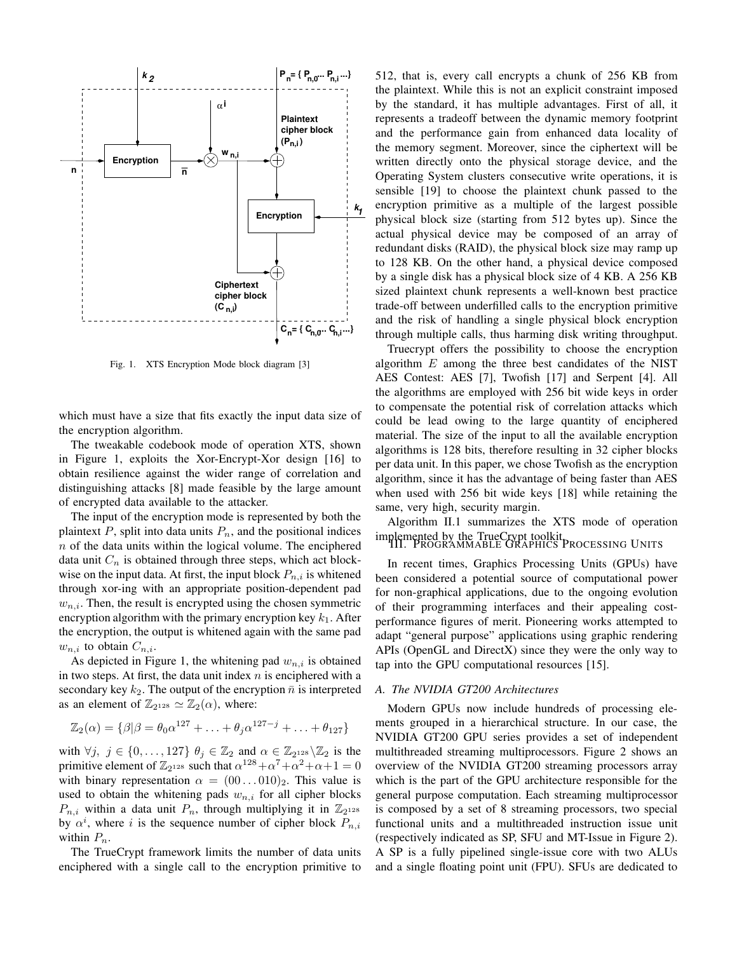

Fig. 1. XTS Encryption Mode block diagram [3]

which must have a size that fits exactly the input data size of the encryption algorithm.

The tweakable codebook mode of operation XTS, shown in Figure 1, exploits the Xor-Encrypt-Xor design [16] to obtain resilience against the wider range of correlation and distinguishing attacks [8] made feasible by the large amount of encrypted data available to the attacker.

The input of the encryption mode is represented by both the plaintext P, split into data units  $P_n$ , and the positional indices  $n$  of the data units within the logical volume. The enciphered data unit  $C_n$  is obtained through three steps, which act blockwise on the input data. At first, the input block  $P_{n,i}$  is whitened through xor-ing with an appropriate position-dependent pad  $w_{n,i}$ . Then, the result is encrypted using the chosen symmetric encryption algorithm with the primary encryption key  $k_1$ . After the encryption, the output is whitened again with the same pad  $w_{n,i}$  to obtain  $C_{n,i}$ .

As depicted in Figure 1, the whitening pad  $w_{n,i}$  is obtained in two steps. At first, the data unit index  $n$  is enciphered with a secondary key  $k_2$ . The output of the encryption  $\bar{n}$  is interpreted as an element of  $\mathbb{Z}_{2^{128}} \simeq \mathbb{Z}_2(\alpha)$ , where:

$$
\mathbb{Z}_2(\alpha) = \{ \beta | \beta = \theta_0 \alpha^{127} + \ldots + \theta_j \alpha^{127 - j} + \ldots + \theta_{127} \}
$$

with  $\forall j, j \in \{0, \ldots, 127\}$   $\theta_j \in \mathbb{Z}_2$  and  $\alpha \in \mathbb{Z}_{2^{128}} \setminus \mathbb{Z}_2$  is the primitive element of  $\mathbb{Z}_{2^{128}}$  such that  $\alpha^{128} + \alpha^7 + \alpha^2 + \alpha + 1 = 0$ with binary representation  $\alpha = (00 \dots 010)_2$ . This value is used to obtain the whitening pads  $w_{n,i}$  for all cipher blocks  $P_{n,i}$  within a data unit  $P_n$ , through multiplying it in  $\mathbb{Z}_{2^{128}}$ by  $\alpha^i$ , where i is the sequence number of cipher block  $P_{n,i}$ within  $P_n$ .

The TrueCrypt framework limits the number of data units enciphered with a single call to the encryption primitive to

512, that is, every call encrypts a chunk of 256 KB from the plaintext. While this is not an explicit constraint imposed by the standard, it has multiple advantages. First of all, it represents a tradeoff between the dynamic memory footprint and the performance gain from enhanced data locality of the memory segment. Moreover, since the ciphertext will be written directly onto the physical storage device, and the Operating System clusters consecutive write operations, it is sensible [19] to choose the plaintext chunk passed to the encryption primitive as a multiple of the largest possible physical block size (starting from 512 bytes up). Since the actual physical device may be composed of an array of redundant disks (RAID), the physical block size may ramp up to 128 KB. On the other hand, a physical device composed by a single disk has a physical block size of 4 KB. A 256 KB sized plaintext chunk represents a well-known best practice trade-off between underfilled calls to the encryption primitive and the risk of handling a single physical block encryption through multiple calls, thus harming disk writing throughput.

Truecrypt offers the possibility to choose the encryption algorithm  $E$  among the three best candidates of the NIST AES Contest: AES [7], Twofish [17] and Serpent [4]. All the algorithms are employed with 256 bit wide keys in order to compensate the potential risk of correlation attacks which could be lead owing to the large quantity of enciphered material. The size of the input to all the available encryption algorithms is 128 bits, therefore resulting in 32 cipher blocks per data unit. In this paper, we chose Twofish as the encryption algorithm, since it has the advantage of being faster than AES when used with 256 bit wide keys [18] while retaining the same, very high, security margin.

Algorithm II.1 summarizes the XTS mode of operation implemented by the TrueCrypt toolkit. III. PROGRAMMABLE <sup>G</sup>RAPHICS <sup>P</sup>ROCESSING <sup>U</sup>NITS

In recent times, Graphics Processing Units (GPUs) have been considered a potential source of computational power for non-graphical applications, due to the ongoing evolution of their programming interfaces and their appealing costperformance figures of merit. Pioneering works attempted to adapt "general purpose" applications using graphic rendering APIs (OpenGL and DirectX) since they were the only way to tap into the GPU computational resources [15].

## *A. The NVIDIA GT200 Architectures*

Modern GPUs now include hundreds of processing elements grouped in a hierarchical structure. In our case, the NVIDIA GT200 GPU series provides a set of independent multithreaded streaming multiprocessors. Figure 2 shows an overview of the NVIDIA GT200 streaming processors array which is the part of the GPU architecture responsible for the general purpose computation. Each streaming multiprocessor is composed by a set of 8 streaming processors, two special functional units and a multithreaded instruction issue unit (respectively indicated as SP, SFU and MT-Issue in Figure 2). A SP is a fully pipelined single-issue core with two ALUs and a single floating point unit (FPU). SFUs are dedicated to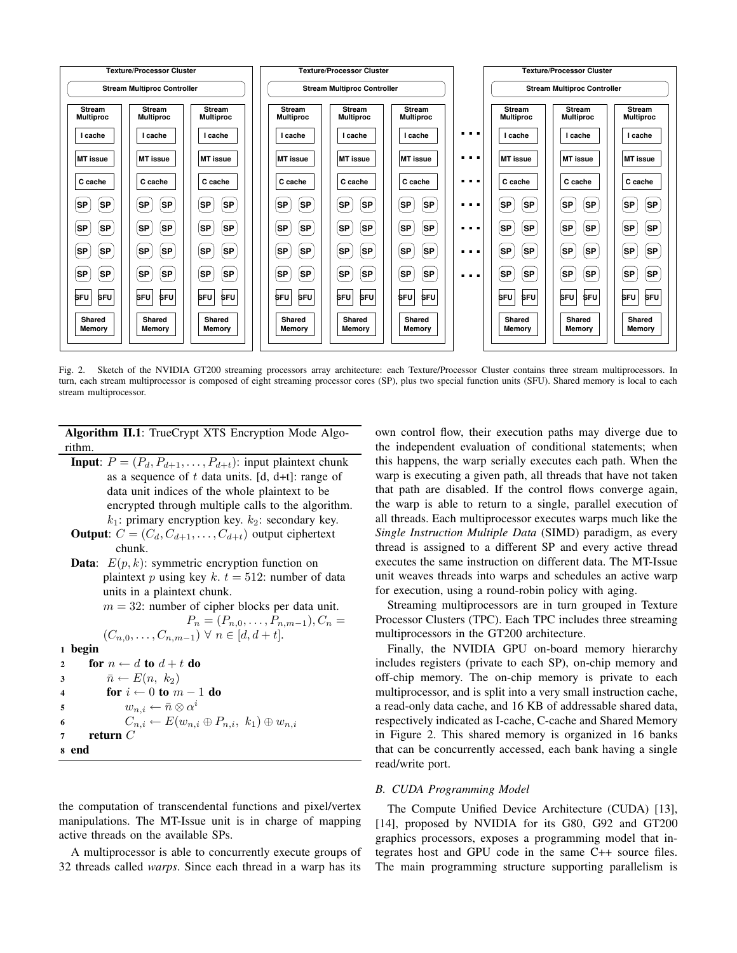

Fig. 2. Sketch of the NVIDIA GT200 streaming processors array architecture: each Texture/Processor Cluster contains three stream multiprocessors. In turn, each stream multiprocessor is composed of eight streaming processor cores (SP), plus two special function units (SFU). Shared memory is local to each stream multiprocessor.

**Algorithm II.1**: TrueCrypt XTS Encryption Mode Algorithm.

- **Input**:  $P = (P_d, P_{d+1}, \ldots, P_{d+t})$ : input plaintext chunk as a sequence of  $t$  data units. [d, d+t]: range of data unit indices of the whole plaintext to be encrypted through multiple calls to the algorithm.  $k_1$ : primary encryption key.  $k_2$ : secondary key.
- **Output**:  $C = (C_d, C_{d+1}, \ldots, C_{d+t})$  output ciphertext chunk.
- **Data:**  $E(p, k)$ : symmetric encryption function on plaintext p using key k.  $t = 512$ : number of data units in a plaintext chunk.

 $m = 32$ : number of cipher blocks per data unit.

 $P_n = (P_{n,0}, \ldots, P_{n,m-1}), C_n =$  $(C_{n,0}, \ldots, C_{n,m-1}) \ \forall \ n \in [d, d+t].$ **1 begin 2 for**  $n \leftarrow d$  **to**  $d + t$  **do 3**  $\bar{n} \leftarrow E(n, k_2)$ **4 for**  $i \leftarrow 0$  **to**  $m-1$  **do**  $w_{n,i} \leftarrow \bar{n} \otimes \alpha^i$ **5** 6  $C_{n,i} \leftarrow E(w_{n,i} \oplus P_{n,i}, k_1) \oplus w_{n,i}$ **<sup>7</sup> return** C **8 end**

the computation of transcendental functions and pixel/vertex manipulations. The MT-Issue unit is in charge of mapping active threads on the available SPs.

A multiprocessor is able to concurrently execute groups of 32 threads called *warps*. Since each thread in a warp has its

own control flow, their execution paths may diverge due to the independent evaluation of conditional statements; when this happens, the warp serially executes each path. When the warp is executing a given path, all threads that have not taken that path are disabled. If the control flows converge again, the warp is able to return to a single, parallel execution of all threads. Each multiprocessor executes warps much like the *Single Instruction Multiple Data* (SIMD) paradigm, as every thread is assigned to a different SP and every active thread executes the same instruction on different data. The MT-Issue unit weaves threads into warps and schedules an active warp for execution, using a round-robin policy with aging.

Streaming multiprocessors are in turn grouped in Texture Processor Clusters (TPC). Each TPC includes three streaming multiprocessors in the GT200 architecture.

Finally, the NVIDIA GPU on-board memory hierarchy includes registers (private to each SP), on-chip memory and off-chip memory. The on-chip memory is private to each multiprocessor, and is split into a very small instruction cache, a read-only data cache, and 16 KB of addressable shared data, respectively indicated as I-cache, C-cache and Shared Memory in Figure 2. This shared memory is organized in 16 banks that can be concurrently accessed, each bank having a single read/write port.

## *B. CUDA Programming Model*

The Compute Unified Device Architecture (CUDA) [13], [14], proposed by NVIDIA for its G80, G92 and GT200 graphics processors, exposes a programming model that integrates host and GPU code in the same C++ source files. The main programming structure supporting parallelism is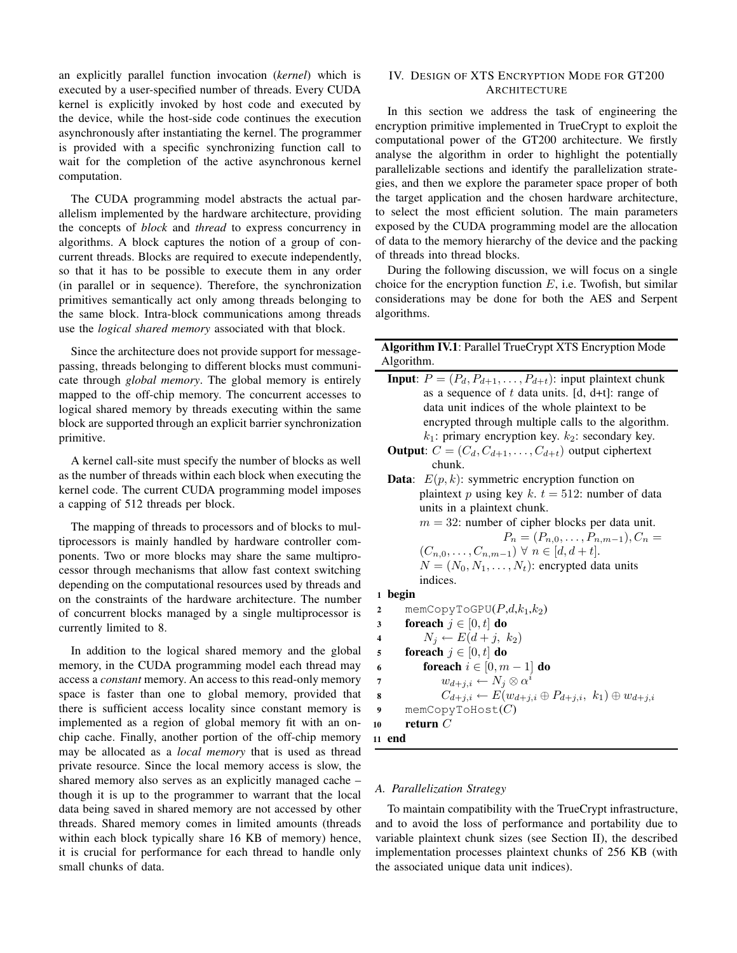an explicitly parallel function invocation (*kernel*) which is executed by a user-specified number of threads. Every CUDA kernel is explicitly invoked by host code and executed by the device, while the host-side code continues the execution asynchronously after instantiating the kernel. The programmer is provided with a specific synchronizing function call to wait for the completion of the active asynchronous kernel computation.

The CUDA programming model abstracts the actual parallelism implemented by the hardware architecture, providing the concepts of *block* and *thread* to express concurrency in algorithms. A block captures the notion of a group of concurrent threads. Blocks are required to execute independently, so that it has to be possible to execute them in any order (in parallel or in sequence). Therefore, the synchronization primitives semantically act only among threads belonging to the same block. Intra-block communications among threads use the *logical shared memory* associated with that block.

Since the architecture does not provide support for messagepassing, threads belonging to different blocks must communicate through *global memory*. The global memory is entirely mapped to the off-chip memory. The concurrent accesses to logical shared memory by threads executing within the same block are supported through an explicit barrier synchronization primitive.

A kernel call-site must specify the number of blocks as well as the number of threads within each block when executing the kernel code. The current CUDA programming model imposes a capping of 512 threads per block.

The mapping of threads to processors and of blocks to multiprocessors is mainly handled by hardware controller components. Two or more blocks may share the same multiprocessor through mechanisms that allow fast context switching depending on the computational resources used by threads and on the constraints of the hardware architecture. The number of concurrent blocks managed by a single multiprocessor is currently limited to 8.

In addition to the logical shared memory and the global memory, in the CUDA programming model each thread may access a *constant* memory. An access to this read-only memory space is faster than one to global memory, provided that there is sufficient access locality since constant memory is implemented as a region of global memory fit with an onchip cache. Finally, another portion of the off-chip memory may be allocated as a *local memory* that is used as thread private resource. Since the local memory access is slow, the shared memory also serves as an explicitly managed cache – though it is up to the programmer to warrant that the local data being saved in shared memory are not accessed by other threads. Shared memory comes in limited amounts (threads within each block typically share 16 KB of memory) hence, it is crucial for performance for each thread to handle only small chunks of data.

## IV. DESIGN OF XTS ENCRYPTION MODE FOR GT200 **ARCHITECTURE**

In this section we address the task of engineering the encryption primitive implemented in TrueCrypt to exploit the computational power of the GT200 architecture. We firstly analyse the algorithm in order to highlight the potentially parallelizable sections and identify the parallelization strategies, and then we explore the parameter space proper of both the target application and the chosen hardware architecture, to select the most efficient solution. The main parameters exposed by the CUDA programming model are the allocation of data to the memory hierarchy of the device and the packing of threads into thread blocks.

During the following discussion, we will focus on a single choice for the encryption function  $E$ , i.e. Twofish, but similar considerations may be done for both the AES and Serpent algorithms.

| Algorithm IV.1: Parallel TrueCrypt XTS Encryption Mode |  |  |
|--------------------------------------------------------|--|--|
| Algorithm.                                             |  |  |

```
Input: P = (P_d, P_{d+1}, \ldots, P_{d+t}): input plaintext chunk
          as a sequence of t data units. [d, d+t]: range of
          data unit indices of the whole plaintext to be
          encrypted through multiple calls to the algorithm.
          k_1: primary encryption key. k_2: secondary key.
  Output: C = (C_d, C_{d+1}, \ldots, C_{d+t}) output ciphertext
            chunk.
  Data: E(p, k): symmetric encryption function on
         plaintext p using key k. t = 512: number of data
         units in a plaintext chunk.
         m = 32: number of cipher blocks per data unit.
                          P_n = (P_{n,0}, \ldots, P_{n,m-1}), C_n =(C_{n,0}, \ldots, C_{n,m-1}) \ \forall \ n \in [d, d+t].N = (N_0, N_1, \ldots, N_t): encrypted data units
         indices.
1 begin
2 memCopyToGPU(P,d,k_1,k_2)3 foreach j \in [0, t] do
4 N_j \leftarrow E(d+j, k_2)5 foreach j \in [0, t] do
6 foreach i \in [0, m - 1] do
              w_{d+j,i} \leftarrow N_j \otimes \alpha^i7
8 C_{d+j,i} \leftarrow E(w_{d+j,i} \oplus P_{d+j,i}, k_1) \oplus w_{d+j,i}9 memCopyToHost(C)
10 return C
11 end
```
## *A. Parallelization Strategy*

To maintain compatibility with the TrueCrypt infrastructure, and to avoid the loss of performance and portability due to variable plaintext chunk sizes (see Section II), the described implementation processes plaintext chunks of 256 KB (with the associated unique data unit indices).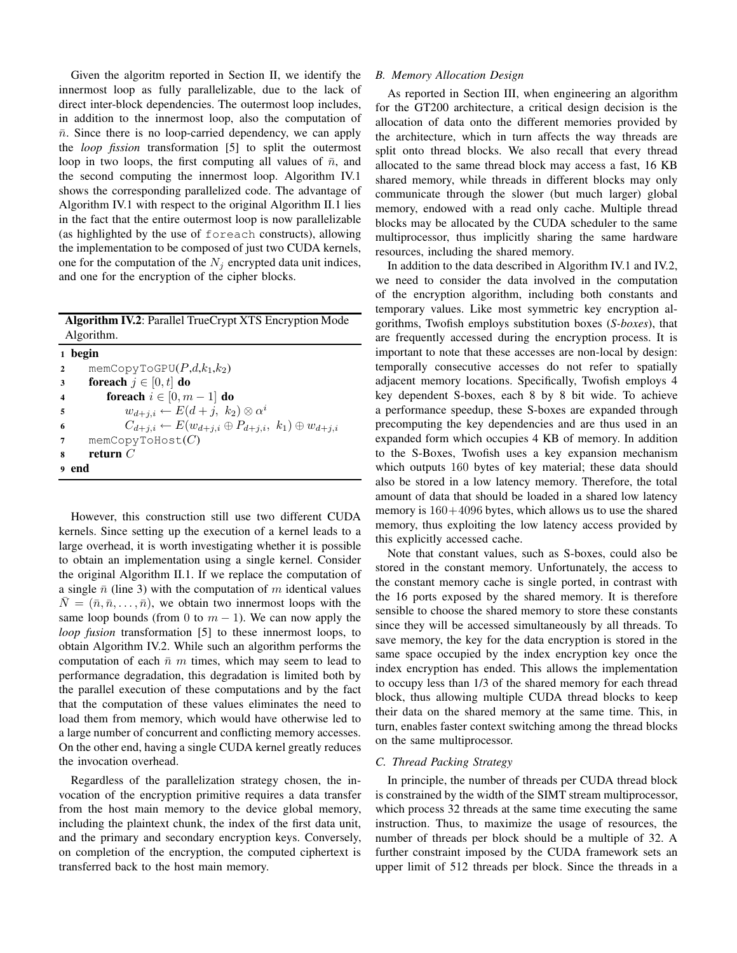Given the algoritm reported in Section II, we identify the innermost loop as fully parallelizable, due to the lack of direct inter-block dependencies. The outermost loop includes, in addition to the innermost loop, also the computation of  $\bar{n}$ . Since there is no loop-carried dependency, we can apply the *loop fission* transformation [5] to split the outermost loop in two loops, the first computing all values of  $\bar{n}$ , and the second computing the innermost loop. Algorithm IV.1 shows the corresponding parallelized code. The advantage of Algorithm IV.1 with respect to the original Algorithm II.1 lies in the fact that the entire outermost loop is now parallelizable (as highlighted by the use of foreach constructs), allowing the implementation to be composed of just two CUDA kernels, one for the computation of the  $N_i$  encrypted data unit indices, and one for the encryption of the cipher blocks.

**Algorithm IV.2**: Parallel TrueCrypt XTS Encryption Mode Algorithm.

|                | 1 begin                                                                    |
|----------------|----------------------------------------------------------------------------|
| $\overline{2}$ | memCopyToGPU $(P,d,k_1,k_2)$                                               |
| 3              | foreach $j \in [0, t]$ do                                                  |
| $\overline{4}$ | foreach $i \in [0, m-1]$ do                                                |
| 5              | $w_{d+j,i} \leftarrow E(d+j, k_2) \otimes \alpha^i$                        |
| 6              | $C_{d+j,i} \leftarrow E(w_{d+j,i} \oplus P_{d+j,i}, k_1) \oplus w_{d+j,i}$ |
| 7              | memCopyToHost(C)                                                           |
| 8              | return $C$                                                                 |
| $\mathbf Q$    | end                                                                        |

However, this construction still use two different CUDA kernels. Since setting up the execution of a kernel leads to a large overhead, it is worth investigating whether it is possible to obtain an implementation using a single kernel. Consider the original Algorithm II.1. If we replace the computation of a single  $\bar{n}$  (line 3) with the computation of m identical values  $\overline{N} = (\overline{n}, \overline{n}, \dots, \overline{n})$ , we obtain two innermost loops with the same loop bounds (from 0 to  $m - 1$ ). We can now apply the *loop fusion* transformation [5] to these innermost loops, to obtain Algorithm IV.2. While such an algorithm performs the computation of each  $\bar{n}$  m times, which may seem to lead to performance degradation, this degradation is limited both by the parallel execution of these computations and by the fact that the computation of these values eliminates the need to load them from memory, which would have otherwise led to a large number of concurrent and conflicting memory accesses. On the other end, having a single CUDA kernel greatly reduces the invocation overhead.

Regardless of the parallelization strategy chosen, the invocation of the encryption primitive requires a data transfer from the host main memory to the device global memory, including the plaintext chunk, the index of the first data unit, and the primary and secondary encryption keys. Conversely, on completion of the encryption, the computed ciphertext is transferred back to the host main memory.

## *B. Memory Allocation Design*

As reported in Section III, when engineering an algorithm for the GT200 architecture, a critical design decision is the allocation of data onto the different memories provided by the architecture, which in turn affects the way threads are split onto thread blocks. We also recall that every thread allocated to the same thread block may access a fast, 16 KB shared memory, while threads in different blocks may only communicate through the slower (but much larger) global memory, endowed with a read only cache. Multiple thread blocks may be allocated by the CUDA scheduler to the same multiprocessor, thus implicitly sharing the same hardware resources, including the shared memory.

In addition to the data described in Algorithm IV.1 and IV.2, we need to consider the data involved in the computation of the encryption algorithm, including both constants and temporary values. Like most symmetric key encryption algorithms, Twofish employs substitution boxes (*S-boxes*), that are frequently accessed during the encryption process. It is important to note that these accesses are non-local by design: temporally consecutive accesses do not refer to spatially adjacent memory locations. Specifically, Twofish employs 4 key dependent S-boxes, each 8 by 8 bit wide. To achieve a performance speedup, these S-boxes are expanded through precomputing the key dependencies and are thus used in an expanded form which occupies 4 KB of memory. In addition to the S-Boxes, Twofish uses a key expansion mechanism which outputs 160 bytes of key material; these data should also be stored in a low latency memory. Therefore, the total amount of data that should be loaded in a shared low latency memory is  $160+4096$  bytes, which allows us to use the shared memory, thus exploiting the low latency access provided by this explicitly accessed cache.

Note that constant values, such as S-boxes, could also be stored in the constant memory. Unfortunately, the access to the constant memory cache is single ported, in contrast with the 16 ports exposed by the shared memory. It is therefore sensible to choose the shared memory to store these constants since they will be accessed simultaneously by all threads. To save memory, the key for the data encryption is stored in the same space occupied by the index encryption key once the index encryption has ended. This allows the implementation to occupy less than 1/3 of the shared memory for each thread block, thus allowing multiple CUDA thread blocks to keep their data on the shared memory at the same time. This, in turn, enables faster context switching among the thread blocks on the same multiprocessor.

## *C. Thread Packing Strategy*

In principle, the number of threads per CUDA thread block is constrained by the width of the SIMT stream multiprocessor, which process 32 threads at the same time executing the same instruction. Thus, to maximize the usage of resources, the number of threads per block should be a multiple of 32. A further constraint imposed by the CUDA framework sets an upper limit of 512 threads per block. Since the threads in a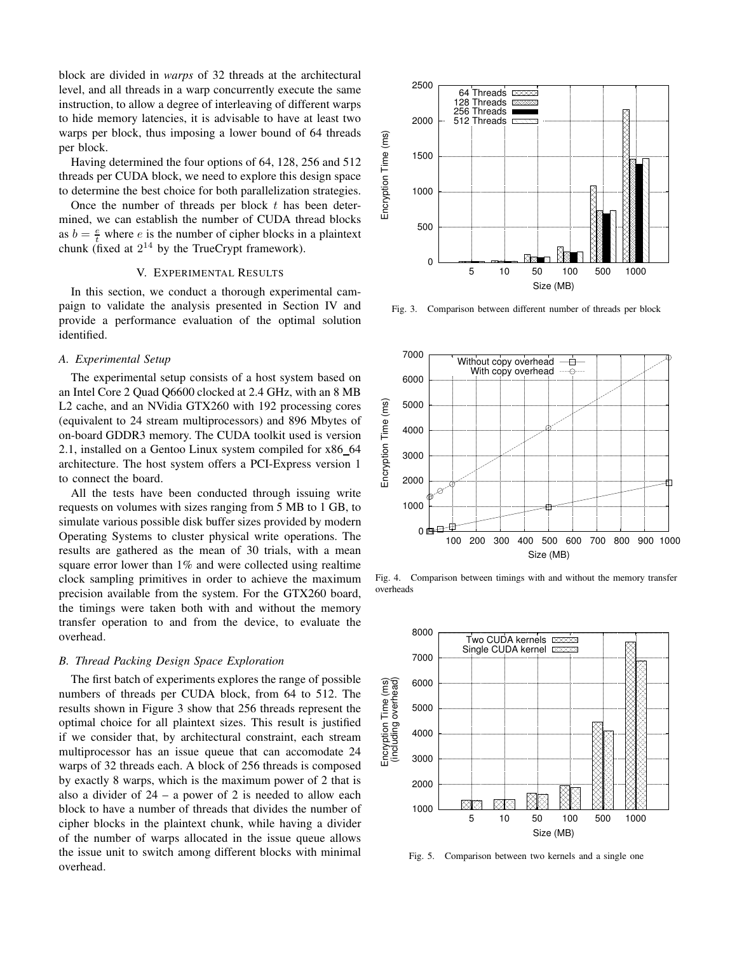block are divided in *warps* of 32 threads at the architectural level, and all threads in a warp concurrently execute the same instruction, to allow a degree of interleaving of different warps to hide memory latencies, it is advisable to have at least two warps per block, thus imposing a lower bound of 64 threads per block.

Having determined the four options of 64, 128, 256 and 512 threads per CUDA block, we need to explore this design space to determine the best choice for both parallelization strategies.

Once the number of threads per block  $t$  has been determined, we can establish the number of CUDA thread blocks as  $b = \frac{e}{t}$  where *e* is the number of cipher blocks in a plaintext chunk (fixed at  $2^{14}$  by the TrueCrypt framework).

## V. EXPERIMENTAL RESULTS

In this section, we conduct a thorough experimental campaign to validate the analysis presented in Section IV and provide a performance evaluation of the optimal solution identified.

## *A. Experimental Setup*

The experimental setup consists of a host system based on an Intel Core 2 Quad Q6600 clocked at 2.4 GHz, with an 8 MB L2 cache, and an NVidia GTX260 with 192 processing cores (equivalent to 24 stream multiprocessors) and 896 Mbytes of on-board GDDR3 memory. The CUDA toolkit used is version 2.1, installed on a Gentoo Linux system compiled for x86\_64 architecture. The host system offers a PCI-Express version 1 to connect the board.

All the tests have been conducted through issuing write requests on volumes with sizes ranging from 5 MB to 1 GB, to simulate various possible disk buffer sizes provided by modern Operating Systems to cluster physical write operations. The results are gathered as the mean of 30 trials, with a mean square error lower than 1% and were collected using realtime clock sampling primitives in order to achieve the maximum precision available from the system. For the GTX260 board, the timings were taken both with and without the memory transfer operation to and from the device, to evaluate the overhead.

## *B. Thread Packing Design Space Exploration*

The first batch of experiments explores the range of possible numbers of threads per CUDA block, from 64 to 512. The results shown in Figure 3 show that 256 threads represent the optimal choice for all plaintext sizes. This result is justified if we consider that, by architectural constraint, each stream multiprocessor has an issue queue that can accomodate 24 warps of 32 threads each. A block of 256 threads is composed by exactly 8 warps, which is the maximum power of 2 that is also a divider of  $24 - a$  power of 2 is needed to allow each block to have a number of threads that divides the number of cipher blocks in the plaintext chunk, while having a divider of the number of warps allocated in the issue queue allows the issue unit to switch among different blocks with minimal overhead.



Fig. 3. Comparison between different number of threads per block



Fig. 4. Comparison between timings with and without the memory transfer overheads



Fig. 5. Comparison between two kernels and a single one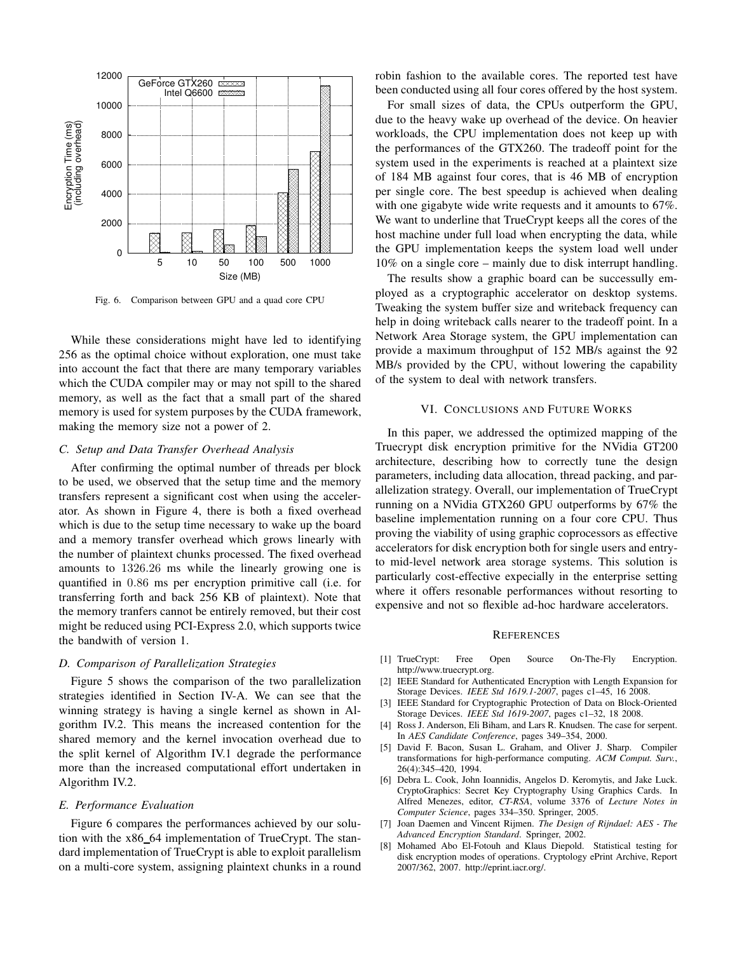

Fig. 6. Comparison between GPU and a quad core CPU

While these considerations might have led to identifying 256 as the optimal choice without exploration, one must take into account the fact that there are many temporary variables which the CUDA compiler may or may not spill to the shared memory, as well as the fact that a small part of the shared memory is used for system purposes by the CUDA framework, making the memory size not a power of 2.

### *C. Setup and Data Transfer Overhead Analysis*

After confirming the optimal number of threads per block to be used, we observed that the setup time and the memory transfers represent a significant cost when using the accelerator. As shown in Figure 4, there is both a fixed overhead which is due to the setup time necessary to wake up the board and a memory transfer overhead which grows linearly with the number of plaintext chunks processed. The fixed overhead amounts to 1326.26 ms while the linearly growing one is quantified in 0.86 ms per encryption primitive call (i.e. for transferring forth and back 256 KB of plaintext). Note that the memory tranfers cannot be entirely removed, but their cost might be reduced using PCI-Express 2.0, which supports twice the bandwith of version 1.

#### *D. Comparison of Parallelization Strategies*

Figure 5 shows the comparison of the two parallelization strategies identified in Section IV-A. We can see that the winning strategy is having a single kernel as shown in Algorithm IV.2. This means the increased contention for the shared memory and the kernel invocation overhead due to the split kernel of Algorithm IV.1 degrade the performance more than the increased computational effort undertaken in Algorithm IV.2.

#### *E. Performance Evaluation*

Figure 6 compares the performances achieved by our solution with the x86 64 implementation of TrueCrypt. The standard implementation of TrueCrypt is able to exploit parallelism on a multi-core system, assigning plaintext chunks in a round robin fashion to the available cores. The reported test have been conducted using all four cores offered by the host system.

For small sizes of data, the CPUs outperform the GPU, due to the heavy wake up overhead of the device. On heavier workloads, the CPU implementation does not keep up with the performances of the GTX260. The tradeoff point for the system used in the experiments is reached at a plaintext size of 184 MB against four cores, that is 46 MB of encryption per single core. The best speedup is achieved when dealing with one gigabyte wide write requests and it amounts to  $67\%$ . We want to underline that TrueCrypt keeps all the cores of the host machine under full load when encrypting the data, while the GPU implementation keeps the system load well under 10% on a single core – mainly due to disk interrupt handling.

The results show a graphic board can be successully employed as a cryptographic accelerator on desktop systems. Tweaking the system buffer size and writeback frequency can help in doing writeback calls nearer to the tradeoff point. In a Network Area Storage system, the GPU implementation can provide a maximum throughput of 152 MB/s against the 92 MB/s provided by the CPU, without lowering the capability of the system to deal with network transfers.

## VI. CONCLUSIONS AND FUTURE WORKS

In this paper, we addressed the optimized mapping of the Truecrypt disk encryption primitive for the NVidia GT200 architecture, describing how to correctly tune the design parameters, including data allocation, thread packing, and parallelization strategy. Overall, our implementation of TrueCrypt running on a NVidia GTX260 GPU outperforms by 67% the baseline implementation running on a four core CPU. Thus proving the viability of using graphic coprocessors as effective accelerators for disk encryption both for single users and entryto mid-level network area storage systems. This solution is particularly cost-effective expecially in the enterprise setting where it offers resonable performances without resorting to expensive and not so flexible ad-hoc hardware accelerators.

#### **REFERENCES**

- [1] TrueCrypt: Free Open Source On-The-Fly Encryption. http://www.truecrypt.org.
- [2] IEEE Standard for Authenticated Encryption with Length Expansion for Storage Devices. *IEEE Std 1619.1-2007*, pages c1–45, 16 2008.
- [3] IEEE Standard for Cryptographic Protection of Data on Block-Oriented Storage Devices. *IEEE Std 1619-2007*, pages c1–32, 18 2008.
- [4] Ross J. Anderson, Eli Biham, and Lars R. Knudsen. The case for serpent. In *AES Candidate Conference*, pages 349–354, 2000.
- [5] David F. Bacon, Susan L. Graham, and Oliver J. Sharp. Compiler transformations for high-performance computing. *ACM Comput. Surv.*, 26(4):345–420, 1994.
- [6] Debra L. Cook, John Ioannidis, Angelos D. Keromytis, and Jake Luck. CryptoGraphics: Secret Key Cryptography Using Graphics Cards. In Alfred Menezes, editor, *CT-RSA*, volume 3376 of *Lecture Notes in Computer Science*, pages 334–350. Springer, 2005.
- [7] Joan Daemen and Vincent Rijmen. *The Design of Rijndael: AES The Advanced Encryption Standard*. Springer, 2002.
- [8] Mohamed Abo El-Fotouh and Klaus Diepold. Statistical testing for disk encryption modes of operations. Cryptology ePrint Archive, Report 2007/362, 2007. http://eprint.iacr.org/.